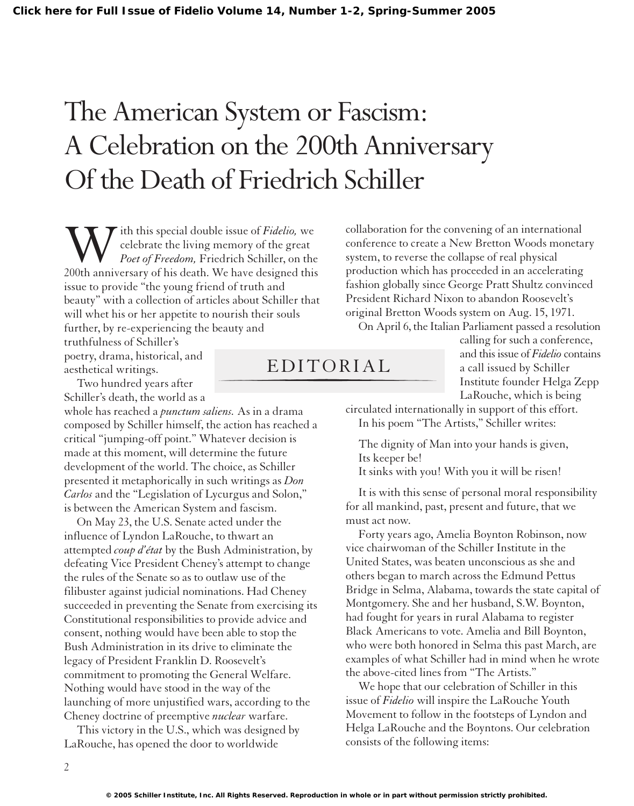## The American System or Fascism: A Celebration on the 200th Anniversary Of the Death of Friedrich Schiller

With this special double issue of *Fidelio*, we celebrate the living memory of the great *Poet of Freedom*, Friedrich Schiller, on the 200th anniversary of his death. We have designed this celebrate the living memory of the great *Poet of Freedom,* Friedrich Schiller, on the issue to provide "the young friend of truth and beauty" with a collection of articles about Schiller that will whet his or her appetite to nourish their souls further, by re-experiencing the beauty and

truthfulness of Schiller's poetry, drama, historical, and aesthetical writings.

Two hundred years after Schiller's death, the world as a

whole has reached a *punctum saliens.* As in a drama composed by Schiller himself, the action has reached a critical "jumping-off point." Whatever decision is made at this moment, will determine the future development of the world. The choice, as Schiller presented it metaphorically in such writings as *Don Carlos* and the "Legislation of Lycurgus and Solon," is between the American System and fascism.

On May 23, the U.S. Senate acted under the influence of Lyndon LaRouche, to thwart an attempted *coup d'état* by the Bush Administration, by defeating Vice President Cheney's attempt to change the rules of the Senate so as to outlaw use of the filibuster against judicial nominations. Had Cheney succeeded in preventing the Senate from exercising its Constitutional responsibilities to provide advice and consent, nothing would have been able to stop the Bush Administration in its drive to eliminate the legacy of President Franklin D. Roosevelt's commitment to promoting the General Welfare. Nothing would have stood in the way of the launching of more unjustified wars, according to the Cheney doctrine of preemptive *nuclear* warfare.

This victory in the U.S., which was designed by LaRouche, has opened the door to worldwide

collaboration for the convening of an international conference to create a New Bretton Woods monetary system, to reverse the collapse of real physical production which has proceeded in an accelerating fashion globally since George Pratt Shultz convinced President Richard Nixon to abandon Roosevelt's original Bretton Woods system on Aug. 15, 1971.

On April 6, the Italian Parliament passed a resolution

## EDITORIAL

calling for such a conference, and this issue of *Fidelio* contains a call issued by Schiller Institute founder Helga Zepp LaRouche, which is being

circulated internationally in support of this effort. In his poem "The Artists," Schiller writes:

The dignity of Man into your hands is given, Its keeper be!

It sinks with you! With you it will be risen!

It is with this sense of personal moral responsibility for all mankind, past, present and future, that we must act now.

Forty years ago, Amelia Boynton Robinson, now vice chairwoman of the Schiller Institute in the United States, was beaten unconscious as she and others began to march across the Edmund Pettus Bridge in Selma, Alabama, towards the state capital of Montgomery. She and her husband, S.W. Boynton, had fought for years in rural Alabama to register Black Americans to vote. Amelia and Bill Boynton, who were both honored in Selma this past March, are examples of what Schiller had in mind when he wrote the above-cited lines from "The Artists."

We hope that our celebration of Schiller in this issue of *Fidelio* will inspire the LaRouche Youth Movement to follow in the footsteps of Lyndon and Helga LaRouche and the Boyntons. Our celebration consists of the following items: